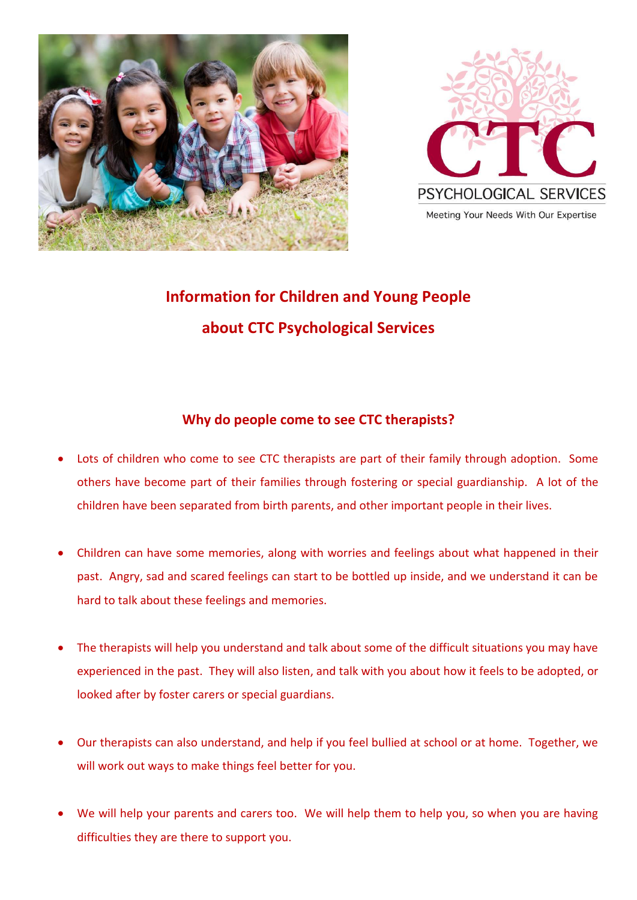



# **Information for Children and Young People about CTC Psychological Services**

## **Why do people come to see CTC therapists?**

- Lots of children who come to see CTC therapists are part of their family through adoption. Some others have become part of their families through fostering or special guardianship. A lot of the children have been separated from birth parents, and other important people in their lives.
- Children can have some memories, along with worries and feelings about what happened in their past. Angry, sad and scared feelings can start to be bottled up inside, and we understand it can be hard to talk about these feelings and memories.
- The therapists will help you understand and talk about some of the difficult situations you may have experienced in the past. They will also listen, and talk with you about how it feels to be adopted, or looked after by foster carers or special guardians.
- Our therapists can also understand, and help if you feel bullied at school or at home. Together, we will work out ways to make things feel better for you.
- We will help your parents and carers too. We will help them to help you, so when you are having difficulties they are there to support you.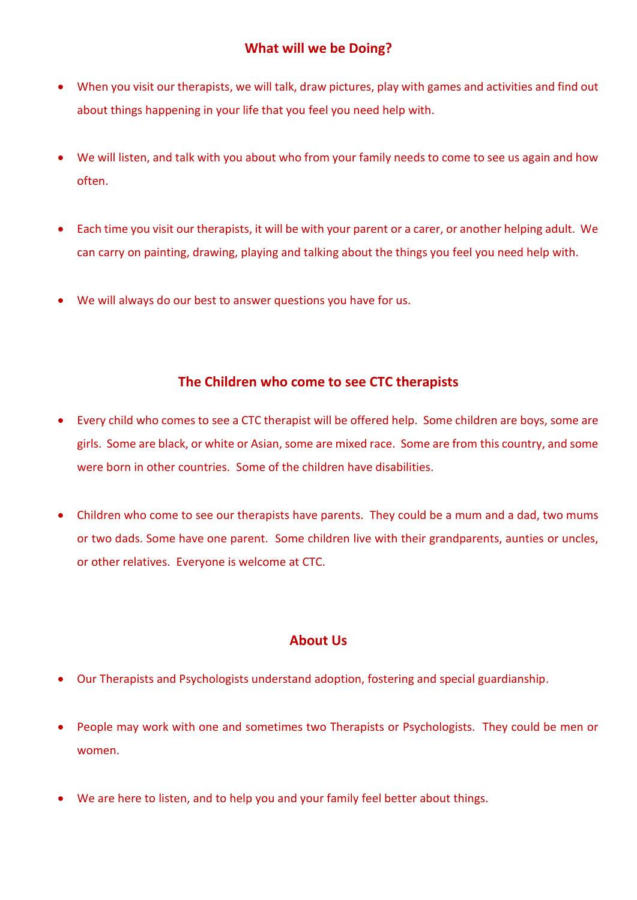- When you visit our therapists, we will talk, draw pictures, play with games and activities and find out about things happening in your life that you feel you need help with.
- We will listen, and talk with you about who from your family needs to come to see us again and how often.
- Each time you visit our therapists, it will be with your parent or a carer, or another helping adult. We can carry on painting, drawing, playing and talking about the things you feel you need help with.
- We will always do our best to answer questions you have for us.

## **The Children who come to see CTC therapists**

- Every child who comes to see a CTC therapist will be offered help. Some children are boys, some are girls. Some are black, or white or Asian, some are mixed race. Some are from this country, and some were born in other countries. Some of the children have disabilities.
- Children who come to see our therapists have parents. They could be a mum and a dad, two mums or two dads. Some have one parent. Some children live with their grandparents, aunties or uncles, or other relatives. Everyone is welcome at CTC.

#### **About Us**

- Our Therapists and Psychologists understand adoption, fostering and special guardianship.
- People may work with one and sometimes two Therapists or Psychologists. They could be men or women.
- We are here to listen, and to help you and your family feel better about things.